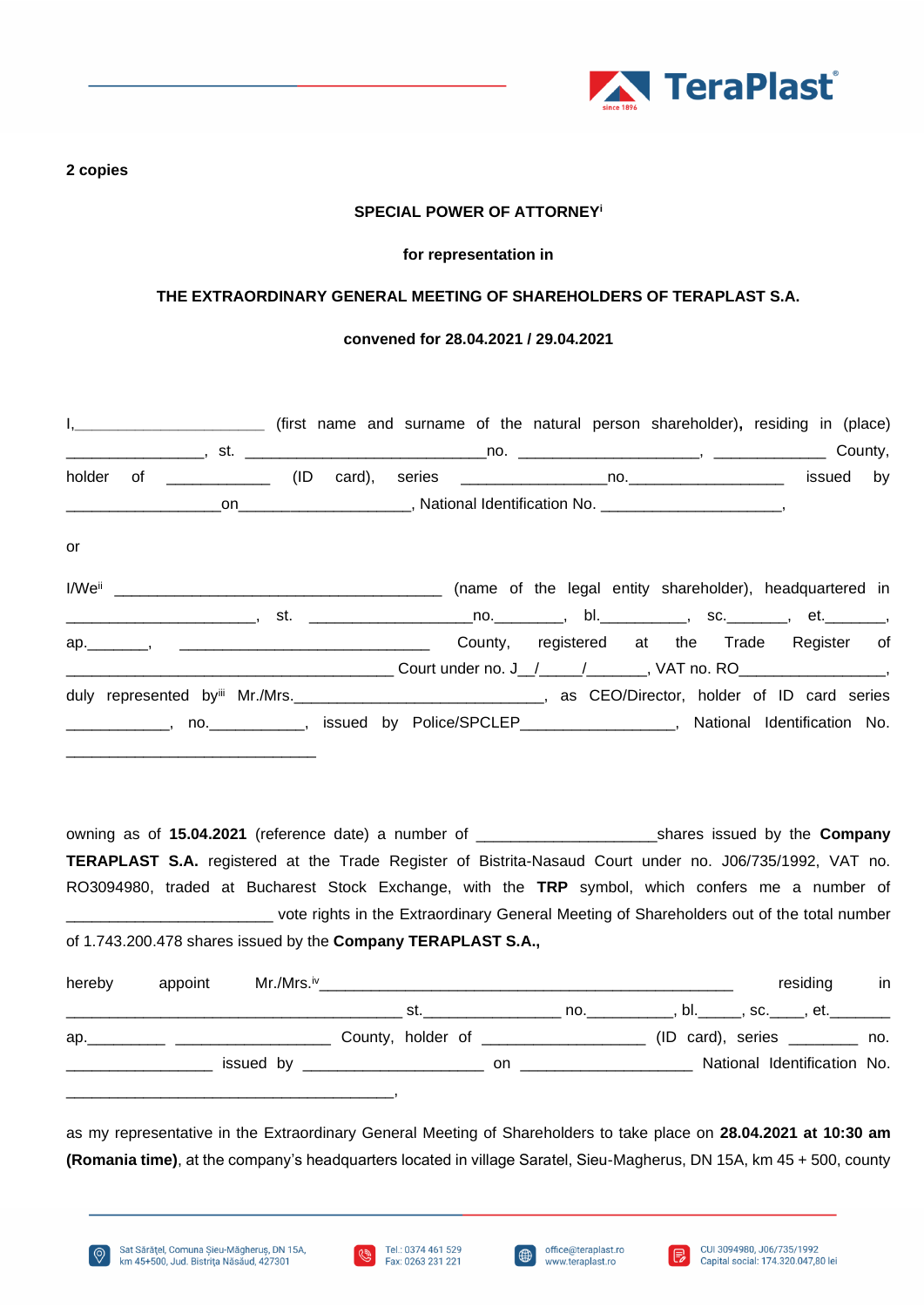

**2 copies**

### **SPECIAL POWER OF ATTORNEY<sup>i</sup>**

#### **for representation in**

## **THE EXTRAORDINARY GENERAL MEETING OF SHAREHOLDERS OF TERAPLAST S.A.**

#### **convened for 28.04.2021 / 29.04.2021**

|    | I, ______________________________ (first name and surname of the natural person shareholder), residing in (place)                                                                                                    |  |  |                                             |  |           |  |
|----|----------------------------------------------------------------------------------------------------------------------------------------------------------------------------------------------------------------------|--|--|---------------------------------------------|--|-----------|--|
|    |                                                                                                                                                                                                                      |  |  |                                             |  |           |  |
|    |                                                                                                                                                                                                                      |  |  |                                             |  | issued by |  |
|    |                                                                                                                                                                                                                      |  |  |                                             |  |           |  |
| or |                                                                                                                                                                                                                      |  |  |                                             |  |           |  |
|    | _________________________, st.  _________________________________, bl._____________, sc._________, et.__________                                                                                                     |  |  |                                             |  |           |  |
|    |                                                                                                                                                                                                                      |  |  | County, registered at the Trade Register of |  |           |  |
|    | duly represented by Mr./Mrs. ___________________________________, as CEO/Director, holder of ID card series<br>_____________, no.____________, issued by Police/SPCLEP_________________, National Identification No. |  |  |                                             |  |           |  |

owning as of **15.04.2021** (reference date) a number of \_\_\_\_\_\_\_\_\_\_\_\_\_\_\_\_\_\_\_\_\_shares issued by the **Company TERAPLAST S.A.** registered at the Trade Register of Bistrita-Nasaud Court under no. J06/735/1992, VAT no. RO3094980, traded at Bucharest Stock Exchange, with the **TRP** symbol, which confers me a number of vote rights in the Extraordinary General Meeting of Shareholders out of the total number of 1.743.200.478 shares issued by the **Company TERAPLAST S.A.,**

| hereby | appoint | $Mr./Mrs.^{iv}$ |     |     |                                     |  | residing                        | in |
|--------|---------|-----------------|-----|-----|-------------------------------------|--|---------------------------------|----|
|        |         |                 | st. |     |                                     |  | no. , bl., sc., et.             |    |
| ap.    |         |                 |     |     | County, holder of _________________ |  | $(ID \ card), \ series \t  no.$ |    |
|        |         |                 |     | on. |                                     |  | National Identification No.     |    |
|        |         |                 |     |     |                                     |  |                                 |    |

as my representative in the Extraordinary General Meeting of Shareholders to take place on **28.04.2021 at 10:30 am (Romania time)**, at the company's headquarters located in village Saratel, Sieu-Magherus, DN 15A, km 45 + 500, county





। ⊟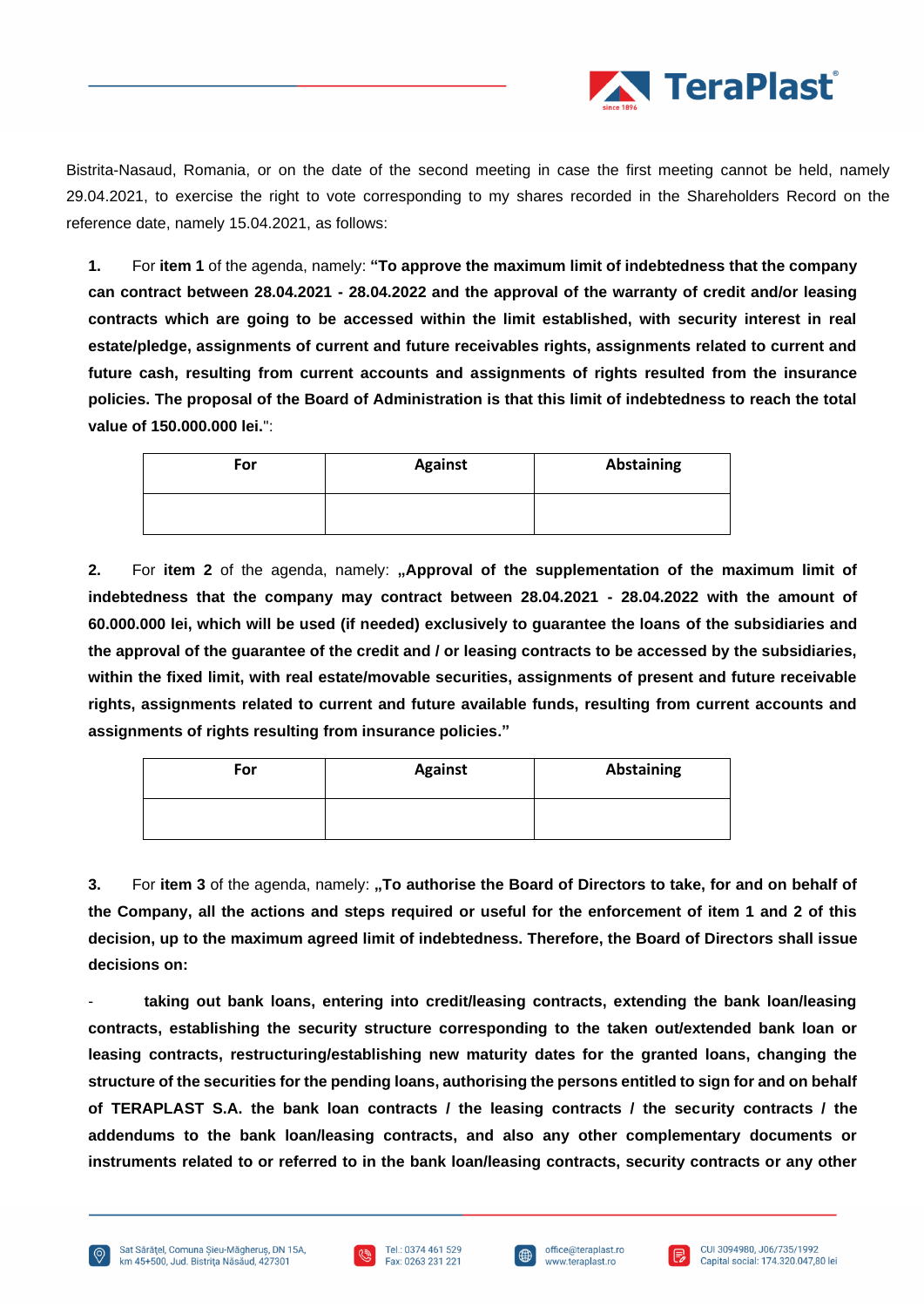

Bistrita-Nasaud, Romania, or on the date of the second meeting in case the first meeting cannot be held, namely 29.04.2021, to exercise the right to vote corresponding to my shares recorded in the Shareholders Record on the reference date, namely 15.04.2021, as follows:

**1.** For **item 1** of the agenda, namely: **"To approve the maximum limit of indebtedness that the company can contract between 28.04.2021 - 28.04.2022 and the approval of the warranty of credit and/or leasing contracts which are going to be accessed within the limit established, with security interest in real estate/pledge, assignments of current and future receivables rights, assignments related to current and future cash, resulting from current accounts and assignments of rights resulted from the insurance policies. The proposal of the Board of Administration is that this limit of indebtedness to reach the total value of 150.000.000 lei.**":

| For | <b>Against</b> | Abstaining |
|-----|----------------|------------|
|     |                |            |

**2.** For **item 2** of the agenda, namely: **"Approval of the supplementation of the maximum limit of indebtedness that the company may contract between 28.04.2021 - 28.04.2022 with the amount of 60.000.000 lei, which will be used (if needed) exclusively to guarantee the loans of the subsidiaries and the approval of the guarantee of the credit and / or leasing contracts to be accessed by the subsidiaries, within the fixed limit, with real estate/movable securities, assignments of present and future receivable rights, assignments related to current and future available funds, resulting from current accounts and assignments of rights resulting from insurance policies."**

| For | <b>Against</b> | <b>Abstaining</b> |  |  |  |
|-----|----------------|-------------------|--|--|--|
|     |                |                   |  |  |  |

**3.** For item 3 of the agenda, namely: "To authorise the Board of Directors to take, for and on behalf of **the Company, all the actions and steps required or useful for the enforcement of item 1 and 2 of this decision, up to the maximum agreed limit of indebtedness. Therefore, the Board of Directors shall issue decisions on:** 

- **taking out bank loans, entering into credit/leasing contracts, extending the bank loan/leasing contracts, establishing the security structure corresponding to the taken out/extended bank loan or leasing contracts, restructuring/establishing new maturity dates for the granted loans, changing the structure of the securities for the pending loans, authorising the persons entitled to sign for and on behalf of TERAPLAST S.A. the bank loan contracts / the leasing contracts / the security contracts / the addendums to the bank loan/leasing contracts, and also any other complementary documents or instruments related to or referred to in the bank loan/leasing contracts, security contracts or any other** 





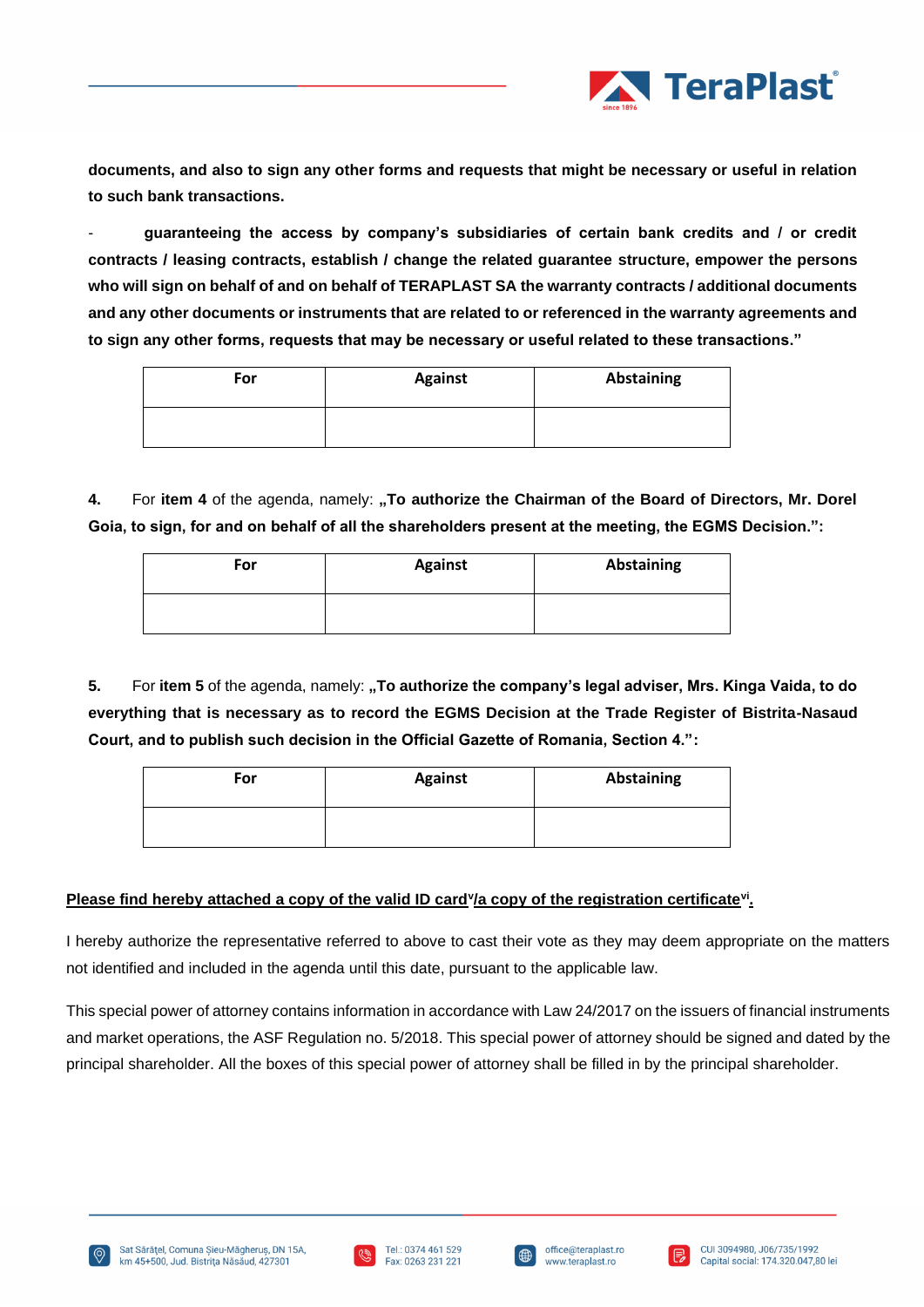

**documents, and also to sign any other forms and requests that might be necessary or useful in relation to such bank transactions.**

- **guaranteeing the access by company's subsidiaries of certain bank credits and / or credit contracts / leasing contracts, establish / change the related guarantee structure, empower the persons who will sign on behalf of and on behalf of TERAPLAST SA the warranty contracts / additional documents and any other documents or instruments that are related to or referenced in the warranty agreements and to sign any other forms, requests that may be necessary or useful related to these transactions."**

| For | <b>Against</b> | Abstaining |
|-----|----------------|------------|
|     |                |            |

4. For item 4 of the agenda, namely: "To authorize the Chairman of the Board of Directors, Mr. Dorel **Goia, to sign, for and on behalf of all the shareholders present at the meeting, the EGMS Decision.":**

| For | <b>Against</b> | <b>Abstaining</b> |  |  |  |
|-----|----------------|-------------------|--|--|--|
|     |                |                   |  |  |  |

**5.** For item 5 of the agenda, namely: "To authorize the company's legal adviser, Mrs. Kinga Vaida, to do **everything that is necessary as to record the EGMS Decision at the Trade Register of Bistrita-Nasaud Court, and to publish such decision in the Official Gazette of Romania, Section 4.":**

| For | <b>Against</b> | Abstaining |  |  |  |
|-----|----------------|------------|--|--|--|
|     |                |            |  |  |  |

# **Please find hereby attached a copy of the valid ID card<sup>y</sup>/a copy of the registration certificate<sup>vi</sup>.**

I hereby authorize the representative referred to above to cast their vote as they may deem appropriate on the matters not identified and included in the agenda until this date, pursuant to the applicable law.

This special power of attorney contains information in accordance with Law 24/2017 on the issuers of financial instruments and market operations, the ASF Regulation no. 5/2018. This special power of attorney should be signed and dated by the principal shareholder. All the boxes of this special power of attorney shall be filled in by the principal shareholder.







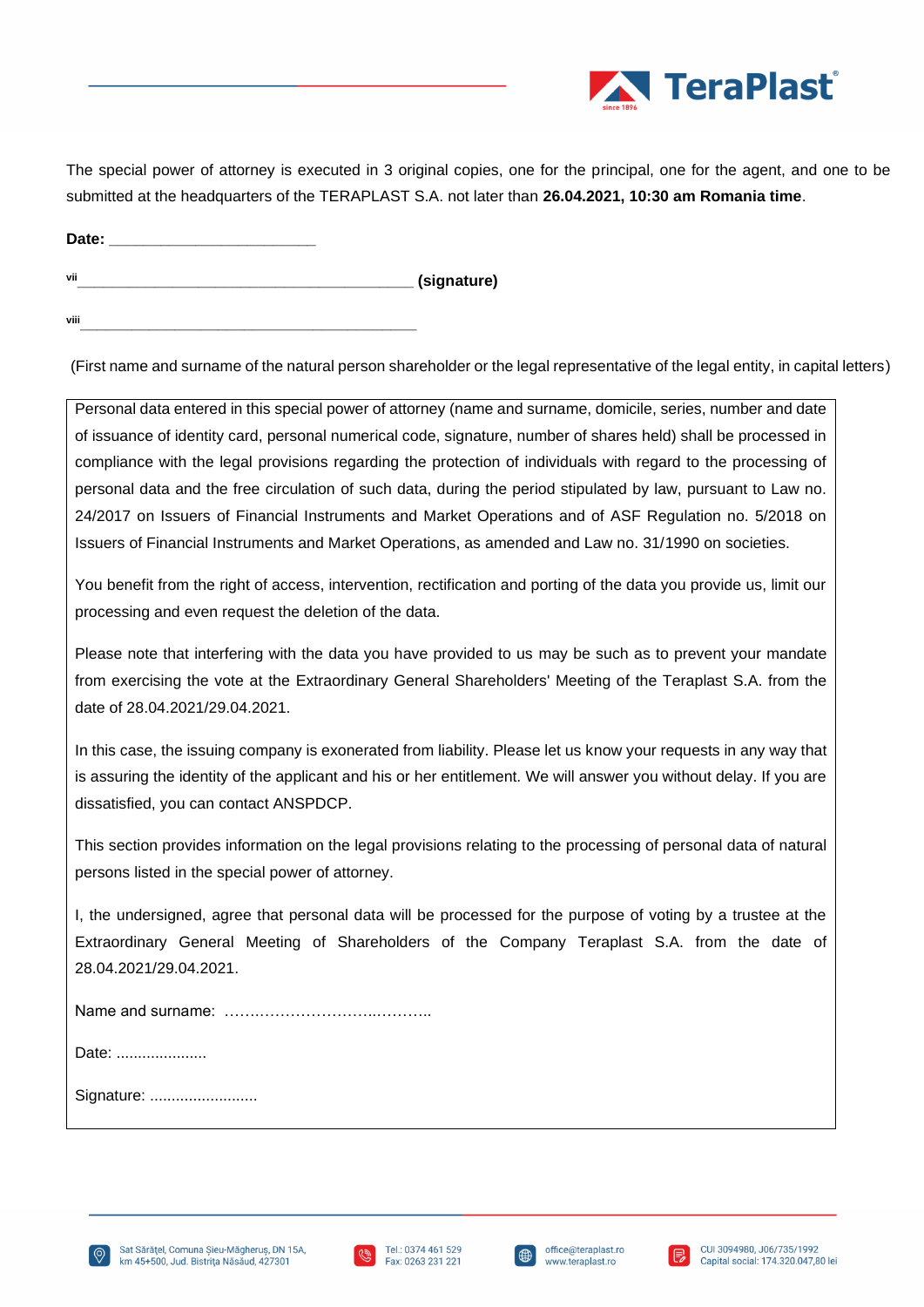

The special power of attorney is executed in 3 original copies, one for the principal, one for the agent, and one to be submitted at the headquarters of the TERAPLAST S.A. not later than **26.04.2021, 10:30 am Romania time**.

Date: **vii\_\_\_\_\_\_\_\_\_\_\_\_\_\_\_\_\_\_\_\_\_\_\_\_\_\_\_\_\_\_\_\_\_\_\_\_\_\_\_ (signature)**

**viii\_\_\_\_\_\_\_\_\_\_\_\_\_\_\_\_\_\_\_\_\_\_\_\_\_\_\_\_\_\_\_\_\_\_\_\_\_\_\_**

(First name and surname of the natural person shareholder or the legal representative of the legal entity, in capital letters)

Personal data entered in this special power of attorney (name and surname, domicile, series, number and date of issuance of identity card, personal numerical code, signature, number of shares held) shall be processed in compliance with the legal provisions regarding the protection of individuals with regard to the processing of personal data and the free circulation of such data, during the period stipulated by law, pursuant to Law no. 24/2017 on Issuers of Financial Instruments and Market Operations and of ASF Regulation no. 5/2018 on Issuers of Financial Instruments and Market Operations, as amended and Law no. 31/1990 on societies.

You benefit from the right of access, intervention, rectification and porting of the data you provide us, limit our processing and even request the deletion of the data.

Please note that interfering with the data you have provided to us may be such as to prevent your mandate from exercising the vote at the Extraordinary General Shareholders' Meeting of the Teraplast S.A. from the date of 28.04.2021/29.04.2021.

In this case, the issuing company is exonerated from liability. Please let us know your requests in any way that is assuring the identity of the applicant and his or her entitlement. We will answer you without delay. If you are dissatisfied, you can contact ANSPDCP.

This section provides information on the legal provisions relating to the processing of personal data of natural persons listed in the special power of attorney.

I, the undersigned, agree that personal data will be processed for the purpose of voting by a trustee at the Extraordinary General Meeting of Shareholders of the Company Teraplast S.A. from the date of 28.04.2021/29.04.2021.

Name and surname: …….…………………..………..

Date: ......................

Signature: ..............................